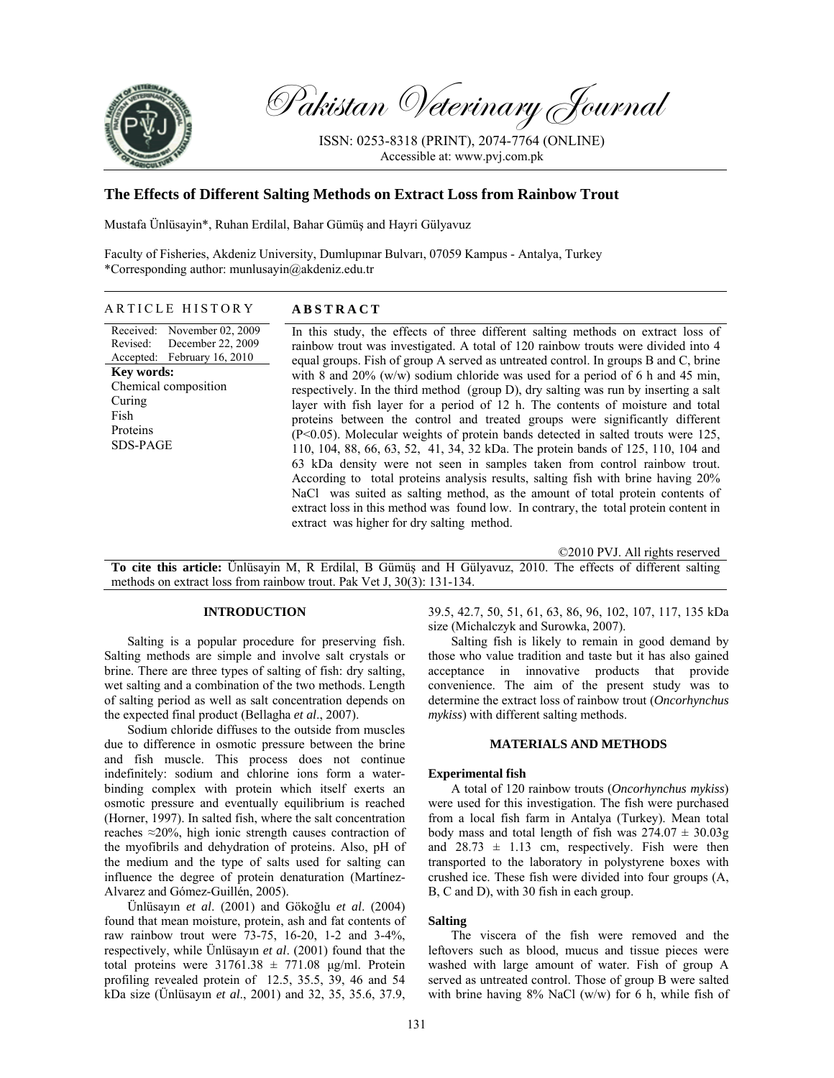

Pakistan Veterinary Journal

ISSN: 0253-8318 (PRINT), 2074-7764 (ONLINE) Accessible at: www.pvj.com.pk

# **The Effects of Different Salting Methods on Extract Loss from Rainbow Trout**

Mustafa Ünlüsayin\*, Ruhan Erdilal, Bahar Gümüş and Hayri Gülyavuz

Faculty of Fisheries, Akdeniz University, Dumlupınar Bulvarı, 07059 Kampus - Antalya, Turkey \*Corresponding author: munlusayin@akdeniz.edu.tr

### ARTICLE HISTORY **ABSTRACT**

Received: Revised: Accepted: November 02, 2009 December 22, 2009 February 16, 2010 **Key words:**  Chemical composition Curing Fish Proteins SDS-PAGE

In this study, the effects of three different salting methods on extract loss of rainbow trout was investigated. A total of 120 rainbow trouts were divided into 4 equal groups. Fish of group A served as untreated control. In groups B and C, brine with 8 and 20% (w/w) sodium chloride was used for a period of 6 h and 45 min, respectively. In the third method (group D), dry salting was run by inserting a salt layer with fish layer for a period of 12 h. The contents of moisture and total proteins between the control and treated groups were significantly different (P<0.05). Molecular weights of protein bands detected in salted trouts were 125, 110, 104, 88, 66, 63, 52, 41, 34, 32 kDa. The protein bands of 125, 110, 104 and 63 kDa density were not seen in samples taken from control rainbow trout. According to total proteins analysis results, salting fish with brine having 20% NaCl was suited as salting method, as the amount of total protein contents of extract loss in this method was found low. In contrary, the total protein content in extract was higher for dry salting method.

©2010 PVJ. All rights reserved

**To cite this article:** Ünlüsayin M, R Erdilal, B Gümüş and H Gülyavuz, 2010. The effects of different salting methods on extract loss from rainbow trout. Pak Vet J, 30(3): 131-134.

### **INTRODUCTION**

Salting is a popular procedure for preserving fish. Salting methods are simple and involve salt crystals or brine. There are three types of salting of fish: dry salting, wet salting and a combination of the two methods. Length of salting period as well as salt concentration depends on the expected final product (Bellagha *et al*., 2007).

Sodium chloride diffuses to the outside from muscles due to difference in osmotic pressure between the brine and fish muscle. This process does not continue indefinitely: sodium and chlorine ions form a waterbinding complex with protein which itself exerts an osmotic pressure and eventually equilibrium is reached (Horner, 1997). In salted fish, where the salt concentration reaches ≈20%, high ionic strength causes contraction of the myofibrils and dehydration of proteins. Also, pH of the medium and the type of salts used for salting can influence the degree of protein denaturation (Martínez-Alvarez and Gόmez-Guillén, 2005).

Ünlüsayın *et al*. (2001) and Gökoğlu *et al*. (2004) found that mean moisture, protein, ash and fat contents of raw rainbow trout were 73-75, 16-20, 1-2 and 3-4%, respectively, while Ünlüsayın *et al*. (2001) found that the total proteins were  $31761.38 \pm 771.08$  µg/ml. Protein profiling revealed protein of 12.5, 35.5, 39, 46 and 54 kDa size (Ünlüsayın *et al*., 2001) and 32, 35, 35.6, 37.9,

39.5, 42.7, 50, 51, 61, 63, 86, 96, 102, 107, 117, 135 kDa size (Michalczyk and Surowka, 2007).

Salting fish is likely to remain in good demand by those who value tradition and taste but it has also gained acceptance in innovative products that provide convenience. The aim of the present study was to determine the extract loss of rainbow trout (*Oncorhynchus mykiss*) with different salting methods.

### **MATERIALS AND METHODS**

#### **Experimental fish**

A total of 120 rainbow trouts (*Oncorhynchus mykiss*) were used for this investigation. The fish were purchased from a local fish farm in Antalya (Turkey). Mean total body mass and total length of fish was  $274.07 \pm 30.03$ g and  $28.73 \pm 1.13$  cm, respectively. Fish were then transported to the laboratory in polystyrene boxes with crushed ice. These fish were divided into four groups (A, B, C and D), with 30 fish in each group.

### **Salting**

The viscera of the fish were removed and the leftovers such as blood, mucus and tissue pieces were washed with large amount of water. Fish of group A served as untreated control. Those of group B were salted with brine having  $8\%$  NaCl (w/w) for 6 h, while fish of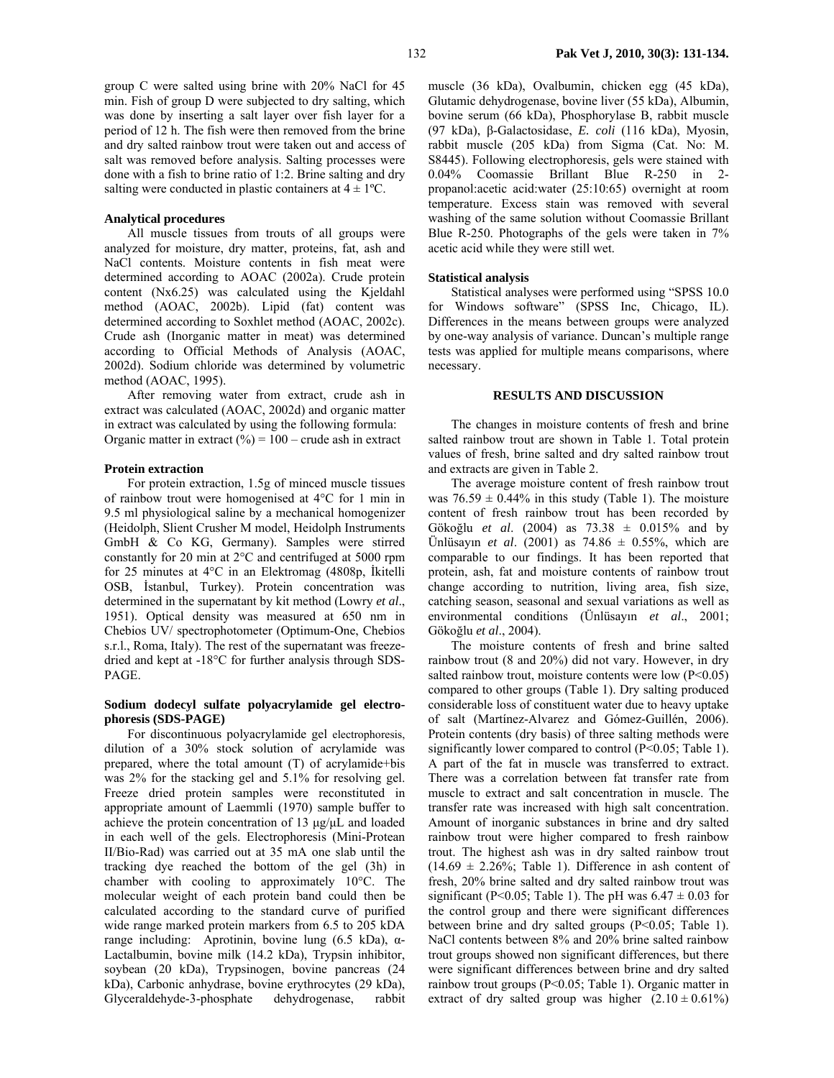group C were salted using brine with 20% NaCl for 45 min. Fish of group D were subjected to dry salting, which was done by inserting a salt layer over fish layer for a period of 12 h. The fish were then removed from the brine and dry salted rainbow trout were taken out and access of salt was removed before analysis. Salting processes were done with a fish to brine ratio of 1:2. Brine salting and dry salting were conducted in plastic containers at  $4 \pm 1$ <sup>o</sup>C.

### **Analytical procedures**

All muscle tissues from trouts of all groups were analyzed for moisture, dry matter, proteins, fat, ash and NaCl contents. Moisture contents in fish meat were determined according to AOAC (2002a). Crude protein content (Nx6.25) was calculated using the Kjeldahl method (AOAC, 2002b). Lipid (fat) content was determined according to Soxhlet method (AOAC, 2002c). Crude ash (Inorganic matter in meat) was determined according to Official Methods of Analysis (AOAC, 2002d). Sodium chloride was determined by volumetric method (AOAC, 1995).

After removing water from extract, crude ash in extract was calculated (AOAC, 2002d) and organic matter in extract was calculated by using the following formula: Organic matter in extract  $(\% ) = 100$  – crude ash in extract

#### **Protein extraction**

For protein extraction, 1.5g of minced muscle tissues of rainbow trout were homogenised at 4°C for 1 min in 9.5 ml physiological saline by a mechanical homogenizer (Heidolph, Slient Crusher M model, Heidolph Instruments GmbH & Co KG, Germany). Samples were stirred constantly for 20 min at 2°C and centrifuged at 5000 rpm for 25 minutes at 4°C in an Elektromag (4808p, İkitelli OSB, İstanbul, Turkey). Protein concentration was determined in the supernatant by kit method (Lowry *et al*., 1951). Optical density was measured at 650 nm in Chebios UV/ spectrophotometer (Optimum-One, Chebios s.r.l., Roma, Italy). The rest of the supernatant was freezedried and kept at -18°C for further analysis through SDS-PAGE.

## **Sodium dodecyl sulfate polyacrylamide gel electrophoresis (SDS-PAGE)**

For discontinuous polyacrylamide gel electrophoresis, dilution of a 30% stock solution of acrylamide was prepared, where the total amount (T) of acrylamide+bis was 2% for the stacking gel and 5.1% for resolving gel. Freeze dried protein samples were reconstituted in appropriate amount of Laemmli (1970) sample buffer to achieve the protein concentration of 13 µg/µL and loaded in each well of the gels. Electrophoresis (Mini-Protean II/Bio-Rad) was carried out at 35 mA one slab until the tracking dye reached the bottom of the gel (3h) in chamber with cooling to approximately 10°C. The molecular weight of each protein band could then be calculated according to the standard curve of purified wide range marked protein markers from 6.5 to 205 kDA range including: Aprotinin, bovine lung (6.5 kDa), α-Lactalbumin, bovine milk (14.2 kDa), Trypsin inhibitor, soybean (20 kDa), Trypsinogen, bovine pancreas (24 kDa), Carbonic anhydrase, bovine erythrocytes (29 kDa), Glyceraldehyde-3-phosphate dehydrogenase, rabbit

muscle (36 kDa), Ovalbumin, chicken egg (45 kDa), Glutamic dehydrogenase, bovine liver (55 kDa), Albumin, bovine serum (66 kDa), Phosphorylase B, rabbit muscle (97 kDa), β-Galactosidase, *E. coli* (116 kDa), Myosin, rabbit muscle (205 kDa) from Sigma (Cat. No: M. S8445). Following electrophoresis, gels were stained with 0.04% Coomassie Brillant Blue R-250 in 2 propanol:acetic acid:water (25:10:65) overnight at room temperature. Excess stain was removed with several washing of the same solution without Coomassie Brillant Blue R-250. Photographs of the gels were taken in 7% acetic acid while they were still wet.

### **Statistical analysis**

Statistical analyses were performed using "SPSS 10.0 for Windows software" (SPSS Inc, Chicago, IL). Differences in the means between groups were analyzed by one-way analysis of variance. Duncan's multiple range tests was applied for multiple means comparisons, where necessary.

#### **RESULTS AND DISCUSSION**

The changes in moisture contents of fresh and brine salted rainbow trout are shown in Table 1. Total protein values of fresh, brine salted and dry salted rainbow trout and extracts are given in Table 2.

The average moisture content of fresh rainbow trout was  $76.59 \pm 0.44\%$  in this study (Table 1). The moisture content of fresh rainbow trout has been recorded by Gökoğlu *et al*. (2004) as 73.38 ± 0.015% and by Ünlüsayın *et al*. (2001) as 74.86 ± 0.55%, which are comparable to our findings. It has been reported that protein, ash, fat and moisture contents of rainbow trout change according to nutrition, living area, fish size, catching season, seasonal and sexual variations as well as environmental conditions (Ünlüsayın *et al*., 2001; Gökoğlu *et al*., 2004).

The moisture contents of fresh and brine salted rainbow trout (8 and 20%) did not vary. However, in dry salted rainbow trout, moisture contents were low  $(P<0.05)$ compared to other groups (Table 1). Dry salting produced considerable loss of constituent water due to heavy uptake of salt (Martínez-Alvarez and Gόmez-Guillén, 2006). Protein contents (dry basis) of three salting methods were significantly lower compared to control (P<0.05; Table 1). A part of the fat in muscle was transferred to extract. There was a correlation between fat transfer rate from muscle to extract and salt concentration in muscle. The transfer rate was increased with high salt concentration. Amount of inorganic substances in brine and dry salted rainbow trout were higher compared to fresh rainbow trout. The highest ash was in dry salted rainbow trout  $(14.69 \pm 2.26\%)$ ; Table 1). Difference in ash content of fresh, 20% brine salted and dry salted rainbow trout was significant (P<0.05; Table 1). The pH was  $6.47 \pm 0.03$  for the control group and there were significant differences between brine and dry salted groups (P<0.05; Table 1). NaCl contents between 8% and 20% brine salted rainbow trout groups showed non significant differences, but there were significant differences between brine and dry salted rainbow trout groups (P<0.05; Table 1). Organic matter in extract of dry salted group was higher  $(2.10 \pm 0.61\%)$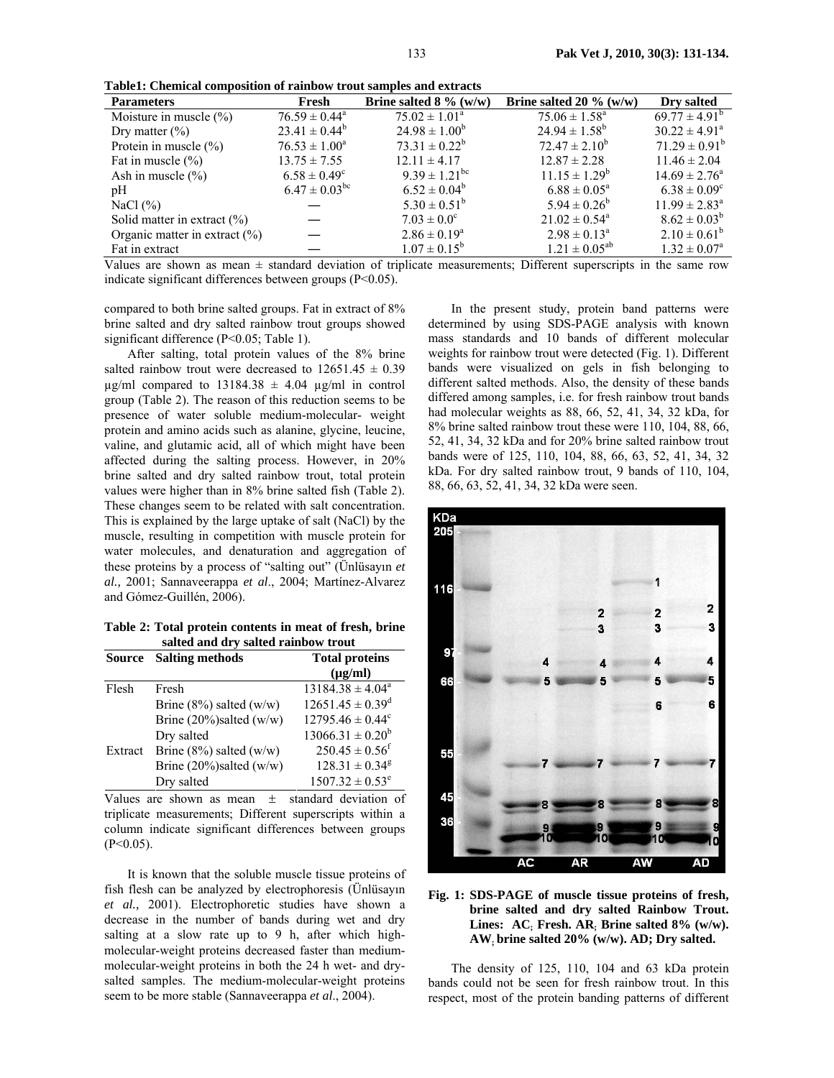**Table1: Chemical composition of rainbow trout samples and extracts** 

| <b>Parameters</b>                 | Fresh                         | Brine salted $8\%$ (w/w)      | Brine salted 20 $\%$ (w/w)    | Dry salted               |
|-----------------------------------|-------------------------------|-------------------------------|-------------------------------|--------------------------|
| Moisture in muscle $(\% )$        | $76.59 \pm 0.44^a$            | $75.02 \pm 1.01^{\circ}$      | $75.06 \pm 1.58^{\circ}$      | $69.77 \pm 4.91^b$       |
| Dry matter $(\% )$                | $23.41 \pm 0.44^b$            | $24.98 \pm 1.00^b$            | $24.94 \pm 1.58^{\circ}$      | $30.22 \pm 4.91^{\circ}$ |
| Protein in muscle $(\% )$         | $76.53 \pm 1.00^a$            | $73.31 \pm 0.22^b$            | $72.47 \pm 2.10^b$            | $71.29 \pm 0.91^b$       |
| Fat in muscle $(\% )$             | $13.75 \pm 7.55$              | $12.11 \pm 4.17$              | $12.87 \pm 2.28$              | $11.46 \pm 2.04$         |
| Ash in muscle $(\% )$             | $6.58 \pm 0.49^c$             | $9.39 \pm 1.21$ <sup>bc</sup> | $11.15 \pm 1.29^b$            | $14.69 \pm 2.76^{\circ}$ |
| pH                                | $6.47 \pm 0.03$ <sup>bc</sup> | $6.52 \pm 0.04^b$             | $6.88 \pm 0.05^{\text{a}}$    | $6.38 \pm 0.09^c$        |
| NaCl $(\% )$                      |                               | $5.30 \pm 0.51^b$             | $5.94 \pm 0.26^b$             | $11.99 \pm 2.83^{\circ}$ |
| Solid matter in extract $(\% )$   |                               | $7.03 \pm 0.0^{\circ}$        | $21.02 \pm 0.54$ <sup>a</sup> | $8.62 \pm 0.03^b$        |
| Organic matter in extract $(\% )$ |                               | $2.86 \pm 0.19^a$             | $2.98 \pm 0.13^{\circ}$       | $2.10 \pm 0.61^b$        |
| Fat in extract                    |                               | $1.07 \pm 0.15^b$             | $1.21 \pm 0.05^{ab}$          | $1.32 \pm 0.07^{\circ}$  |

Values are shown as mean ± standard deviation of triplicate measurements; Different superscripts in the same row indicate significant differences between groups (P<0.05).

compared to both brine salted groups. Fat in extract of 8% brine salted and dry salted rainbow trout groups showed significant difference (P<0.05; Table 1).

After salting, total protein values of the 8% brine salted rainbow trout were decreased to  $12651.45 \pm 0.39$  $\mu$ g/ml compared to 13184.38  $\pm$  4.04  $\mu$ g/ml in control group (Table 2). The reason of this reduction seems to be presence of water soluble medium-molecular- weight protein and amino acids such as alanine, glycine, leucine, valine, and glutamic acid, all of which might have been affected during the salting process. However, in 20% brine salted and dry salted rainbow trout, total protein values were higher than in 8% brine salted fish (Table 2). These changes seem to be related with salt concentration. This is explained by the large uptake of salt (NaCl) by the muscle, resulting in competition with muscle protein for water molecules, and denaturation and aggregation of these proteins by a process of "salting out" (Ünlüsayın *et al.,* 2001; Sannaveerappa *et al*., 2004; Martínez-Alvarez and Gόmez-Guillén, 2006).

**Table 2: Total protein contents in meat of fresh, brine salted and dry salted rainbow trout** 

| <b>Source</b> | <b>Salting methods</b>        | <b>Total proteins</b><br>$(\mu g/ml)$ |
|---------------|-------------------------------|---------------------------------------|
| Flesh         | Fresh                         | $13184.38 \pm 4.04^a$                 |
|               | Brine $(8\%)$ salted $(w/w)$  | $12651.45 \pm 0.39$ <sup>d</sup>      |
|               | Brine $(20\%)$ salted $(w/w)$ | $12795.46 \pm 0.44$ <sup>c</sup>      |
|               | Dry salted                    | $13066.31 \pm 0.20^b$                 |
| Extract       | Brine $(8\%)$ salted $(w/w)$  | $250.45 \pm 0.56$ <sup>f</sup>        |
|               | Brine $(20\%)$ salted $(w/w)$ | $128.31 \pm 0.34$ <sup>g</sup>        |
|               | Dry salted                    | $1507.32 \pm 0.53^e$                  |

Values are shown as mean  $\pm$  standard deviation of triplicate measurements; Different superscripts within a column indicate significant differences between groups  $(P<0.05)$ .

It is known that the soluble muscle tissue proteins of fish flesh can be analyzed by electrophoresis (Ünlüsayın *et al.,* 2001). Electrophoretic studies have shown a decrease in the number of bands during wet and dry salting at a slow rate up to 9 h, after which highmolecular-weight proteins decreased faster than mediummolecular-weight proteins in both the 24 h wet- and drysalted samples. The medium-molecular-weight proteins seem to be more stable (Sannaveerappa *et al*., 2004).

In the present study, protein band patterns were determined by using SDS-PAGE analysis with known mass standards and 10 bands of different molecular weights for rainbow trout were detected (Fig. 1). Different bands were visualized on gels in fish belonging to different salted methods. Also, the density of these bands differed among samples, i.e. for fresh rainbow trout bands had molecular weights as 88, 66, 52, 41, 34, 32 kDa, for 8% brine salted rainbow trout these were 110, 104, 88, 66, 52, 41, 34, 32 kDa and for 20% brine salted rainbow trout bands were of 125, 110, 104, 88, 66, 63, 52, 41, 34, 32 kDa. For dry salted rainbow trout, 9 bands of 110, 104, 88, 66, 63, 52, 41, 34, 32 kDa were seen.



# **Fig. 1: SDS-PAGE of muscle tissue proteins of fresh, brine salted and dry salted Rainbow Trout. Lines: AC; Fresh. AR; Brine salted 8% (w/w). AW; brine salted 20% (w/w). AD; Dry salted.**

The density of 125, 110, 104 and 63 kDa protein bands could not be seen for fresh rainbow trout. In this respect, most of the protein banding patterns of different